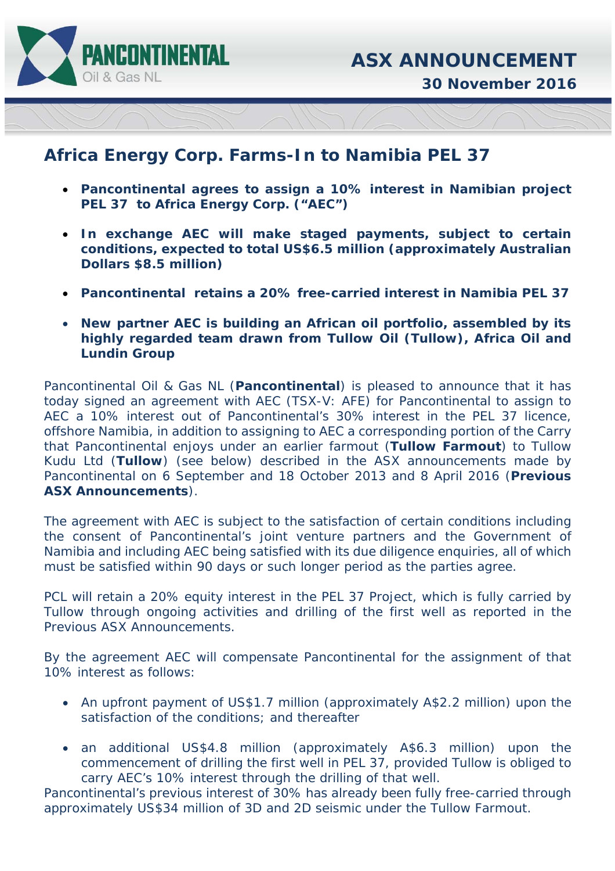

**30 November 2016** 

## **Africa Energy Corp. Farms-In to Namibia PEL 37**

- **Pancontinental agrees to assign a 10% interest in Namibian project PEL 37 to Africa Energy Corp. ("AEC")**
- **In exchange AEC will make staged payments, subject to certain conditions, expected to total US\$6.5 million (approximately Australian Dollars \$8.5 million)**
- **Pancontinental retains a 20% free-carried interest in Namibia PEL 37**
- **New partner AEC is building an African oil portfolio, assembled by its highly regarded team drawn from Tullow Oil (Tullow), Africa Oil and Lundin Group**

Pancontinental Oil & Gas NL (**Pancontinental**) is pleased to announce that it has today signed an agreement with AEC (TSX-V: AFE) for Pancontinental to assign to AEC a 10% interest out of Pancontinental's 30% interest in the PEL 37 licence, offshore Namibia, in addition to assigning to AEC a corresponding portion of the Carry that Pancontinental enjoys under an earlier farmout (**Tullow Farmout**) to Tullow Kudu Ltd (**Tullow**) (see below) described in the ASX announcements made by Pancontinental on 6 September and 18 October 2013 and 8 April 2016 (**Previous ASX Announcements**).

The agreement with AEC is subject to the satisfaction of certain conditions including the consent of Pancontinental's joint venture partners and the Government of Namibia and including AEC being satisfied with its due diligence enquiries, all of which must be satisfied within 90 days or such longer period as the parties agree.

PCL will retain a 20% equity interest in the PEL 37 Project, which is fully carried by Tullow through ongoing activities and drilling of the first well as reported in the Previous ASX Announcements.

By the agreement AEC will compensate Pancontinental for the assignment of that 10% interest as follows:

- An upfront payment of US\$1.7 million (approximately A\$2.2 million) upon the satisfaction of the conditions; and thereafter
- an additional US\$4.8 million (approximately A\$6.3 million) upon the commencement of drilling the first well in PEL 37, provided Tullow is obliged to carry AEC's 10% interest through the drilling of that well.

Pancontinental's previous interest of 30% has already been fully free-carried through approximately US\$34 million of 3D and 2D seismic under the Tullow Farmout.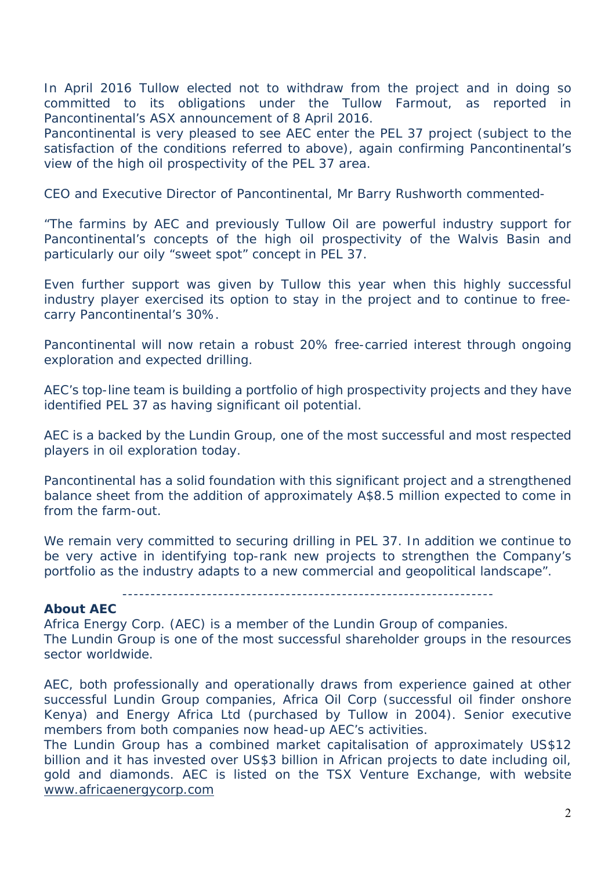In April 2016 Tullow elected not to withdraw from the project and in doing so committed to its obligations under the Tullow Farmout, as reported in Pancontinental's ASX announcement of 8 April 2016.

Pancontinental is very pleased to see AEC enter the PEL 37 project (subject to the satisfaction of the conditions referred to above), again confirming Pancontinental's view of the high oil prospectivity of the PEL 37 area.

CEO and Executive Director of Pancontinental, Mr Barry Rushworth commented-

"*The farmins by AEC and previously Tullow Oil are powerful industry support for Pancontinental's concepts of the high oil prospectivity of the Walvis Basin and particularly our oily "sweet spot" concept in PEL 37.* 

*Even further support was given by Tullow this year when this highly successful industry player exercised its option to stay in the project and to continue to freecarry Pancontinental's 30%.*

*Pancontinental will now retain a robust 20% free-carried interest through ongoing exploration and expected drilling.* 

*AEC's top-line team is building a portfolio of high prospectivity projects and they have identified PEL 37 as having significant oil potential.* 

*AEC is a backed by the Lundin Group, one of the most successful and most respected players in oil exploration today.* 

*Pancontinental has a solid foundation with this significant project and a strengthened balance sheet from the addition of approximately A\$8.5 million expected to come in from the farm-out.* 

*We remain very committed to securing drilling in PEL 37. In addition we continue to be very active in identifying top-rank new projects to strengthen the Company's portfolio as the industry adapts to a new commercial and geopolitical landscape".* 

------------------------------------------------------------------

## **About AEC**

Africa Energy Corp. (AEC) is a member of the Lundin Group of companies. The Lundin Group is one of the most successful shareholder groups in the resources sector worldwide.

AEC, both professionally and operationally draws from experience gained at other successful Lundin Group companies, Africa Oil Corp (successful oil finder onshore Kenya) and Energy Africa Ltd (purchased by Tullow in 2004). Senior executive members from both companies now head-up AEC's activities.

The Lundin Group has a combined market capitalisation of approximately US\$12 billion and it has invested over US\$3 billion in African projects to date including oil, gold and diamonds. AEC is listed on the TSX Venture Exchange, with website www.africaenergycorp.com